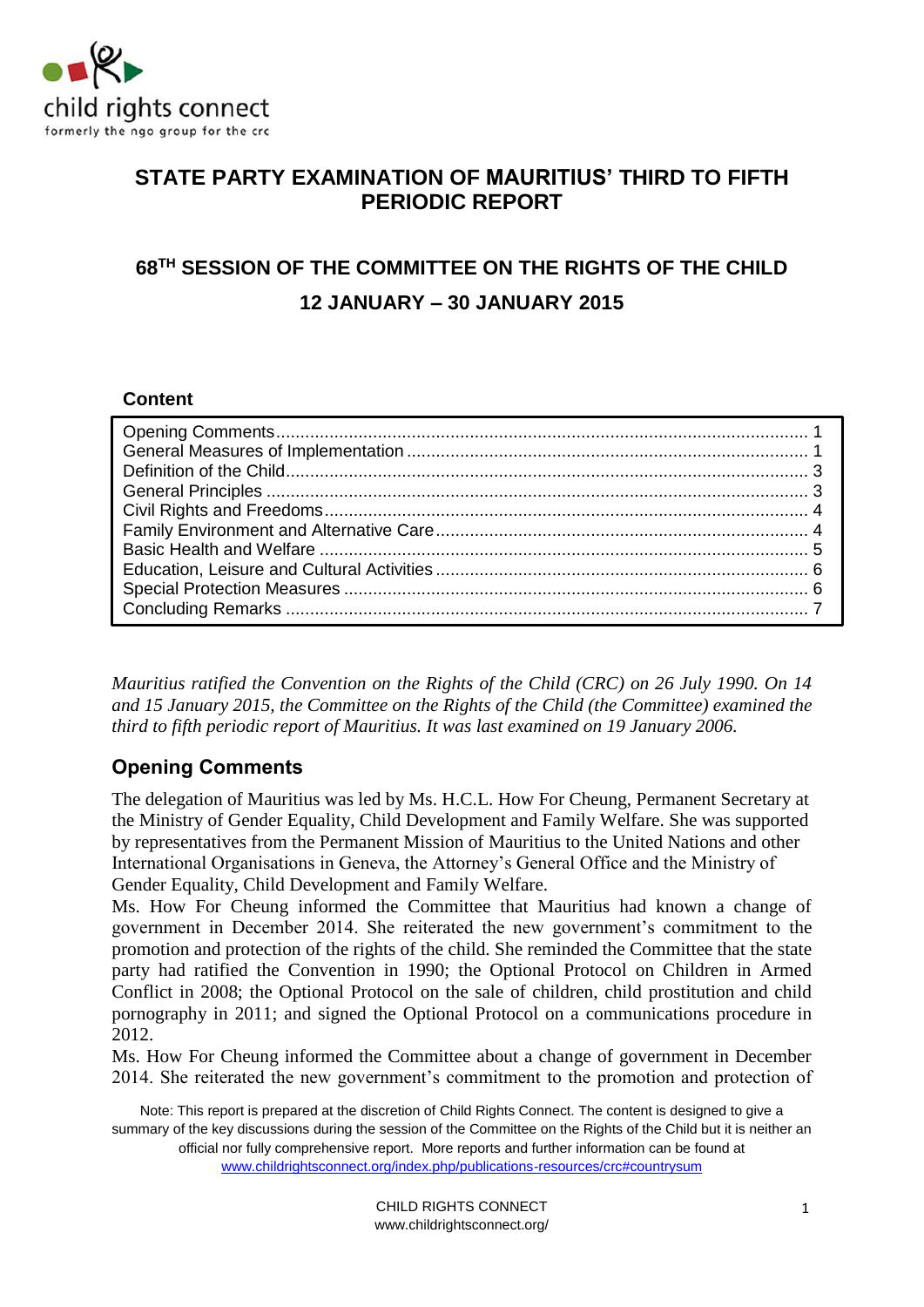

# **STATE PARTY EXAMINATION OF MAURITIUS' THIRD TO FIFTH PERIODIC REPORT**

# **68TH SESSION OF THE COMMITTEE ON THE RIGHTS OF THE CHILD 12 JANUARY – 30 JANUARY 2015**

#### **Content**

*Mauritius ratified the Convention on the Rights of the Child (CRC) on 26 July 1990. On 14 and 15 January 2015, the Committee on the Rights of the Child (the Committee) examined the third to fifth periodic report of Mauritius. It was last examined on 19 January 2006.*

# **Opening Comments**

The delegation of Mauritius was led by Ms. H.C.L. How For Cheung, Permanent Secretary at the Ministry of Gender Equality, Child Development and Family Welfare. She was supported by representatives from the Permanent Mission of Mauritius to the United Nations and other International Organisations in Geneva, the Attorney's General Office and the Ministry of Gender Equality, Child Development and Family Welfare.

Ms. How For Cheung informed the Committee that Mauritius had known a change of government in December 2014. She reiterated the new government's commitment to the promotion and protection of the rights of the child. She reminded the Committee that the state party had ratified the Convention in 1990; the Optional Protocol on Children in Armed Conflict in 2008; the Optional Protocol on the sale of children, child prostitution and child pornography in 2011; and signed the Optional Protocol on a communications procedure in 2012.

Ms. How For Cheung informed the Committee about a change of government in December 2014. She reiterated the new government's commitment to the promotion and protection of

Note: This report is prepared at the discretion of Child Rights Connect. The content is designed to give a summary of the key discussions during the session of the Committee on the Rights of the Child but it is neither an official nor fully comprehensive report. More reports and further information can be found at [www.childrightsconnect.org/index.php/publications-resources/crc#countrysum](http://www.childrightsconnect.org/index.php/publications-resources/crc#countrysum)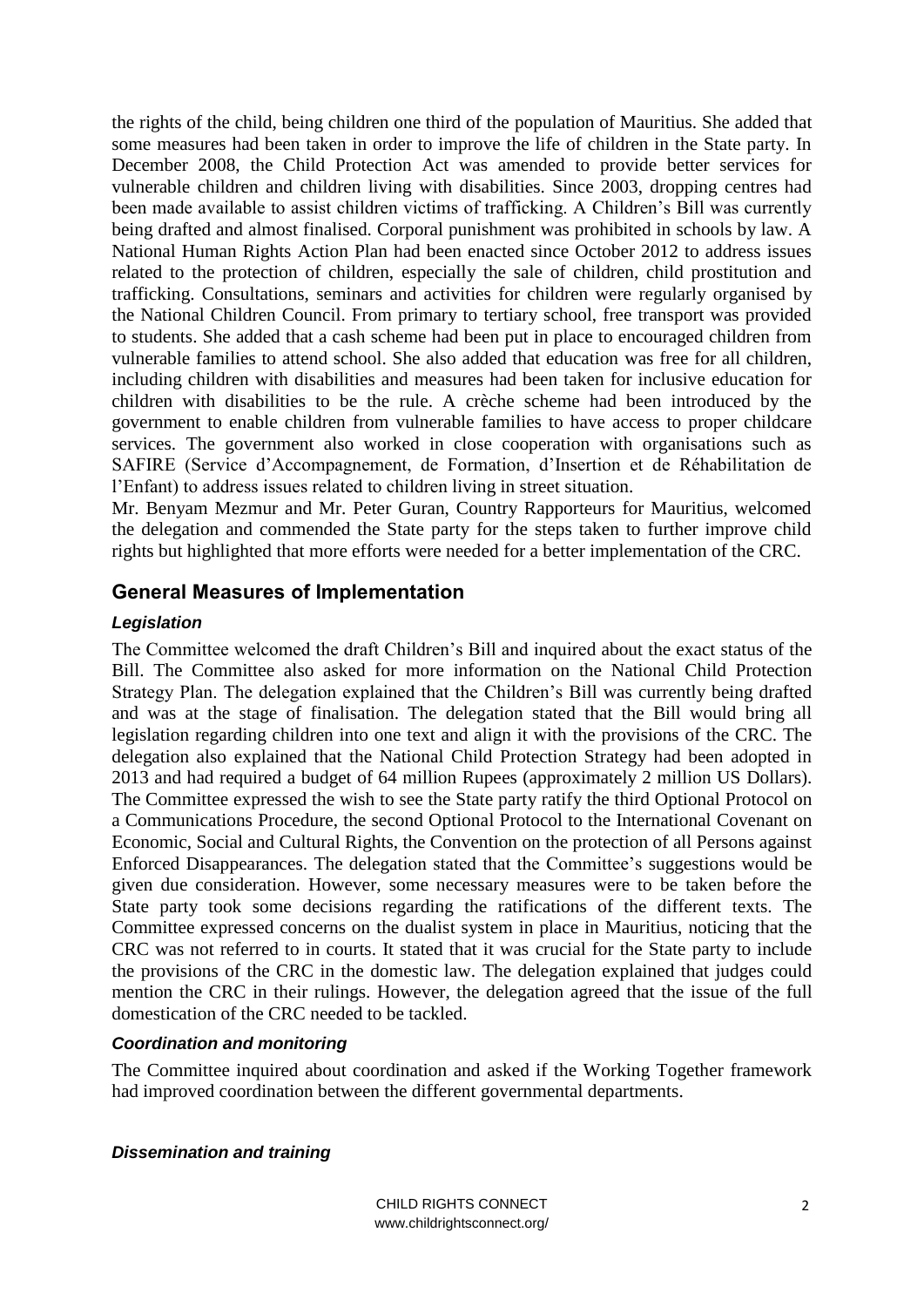the rights of the child, being children one third of the population of Mauritius. She added that some measures had been taken in order to improve the life of children in the State party. In December 2008, the Child Protection Act was amended to provide better services for vulnerable children and children living with disabilities. Since 2003, dropping centres had been made available to assist children victims of trafficking. A Children's Bill was currently being drafted and almost finalised. Corporal punishment was prohibited in schools by law. A National Human Rights Action Plan had been enacted since October 2012 to address issues related to the protection of children, especially the sale of children, child prostitution and trafficking. Consultations, seminars and activities for children were regularly organised by the National Children Council. From primary to tertiary school, free transport was provided to students. She added that a cash scheme had been put in place to encouraged children from vulnerable families to attend school. She also added that education was free for all children, including children with disabilities and measures had been taken for inclusive education for children with disabilities to be the rule. A crèche scheme had been introduced by the government to enable children from vulnerable families to have access to proper childcare services. The government also worked in close cooperation with organisations such as SAFIRE (Service d'Accompagnement, de Formation, d'Insertion et de Réhabilitation de l'Enfant) to address issues related to children living in street situation.

Mr. Benyam Mezmur and Mr. Peter Guran, Country Rapporteurs for Mauritius, welcomed the delegation and commended the State party for the steps taken to further improve child rights but highlighted that more efforts were needed for a better implementation of the CRC.

## **General Measures of Implementation**

#### *Legislation*

The Committee welcomed the draft Children's Bill and inquired about the exact status of the Bill. The Committee also asked for more information on the National Child Protection Strategy Plan. The delegation explained that the Children's Bill was currently being drafted and was at the stage of finalisation. The delegation stated that the Bill would bring all legislation regarding children into one text and align it with the provisions of the CRC. The delegation also explained that the National Child Protection Strategy had been adopted in 2013 and had required a budget of 64 million Rupees (approximately 2 million US Dollars). The Committee expressed the wish to see the State party ratify the third Optional Protocol on a Communications Procedure, the second Optional Protocol to the International Covenant on Economic, Social and Cultural Rights, the Convention on the protection of all Persons against Enforced Disappearances. The delegation stated that the Committee's suggestions would be given due consideration. However, some necessary measures were to be taken before the State party took some decisions regarding the ratifications of the different texts. The Committee expressed concerns on the dualist system in place in Mauritius, noticing that the CRC was not referred to in courts. It stated that it was crucial for the State party to include the provisions of the CRC in the domestic law. The delegation explained that judges could mention the CRC in their rulings. However, the delegation agreed that the issue of the full domestication of the CRC needed to be tackled.

#### *Coordination and monitoring*

The Committee inquired about coordination and asked if the Working Together framework had improved coordination between the different governmental departments.

#### *Dissemination and training*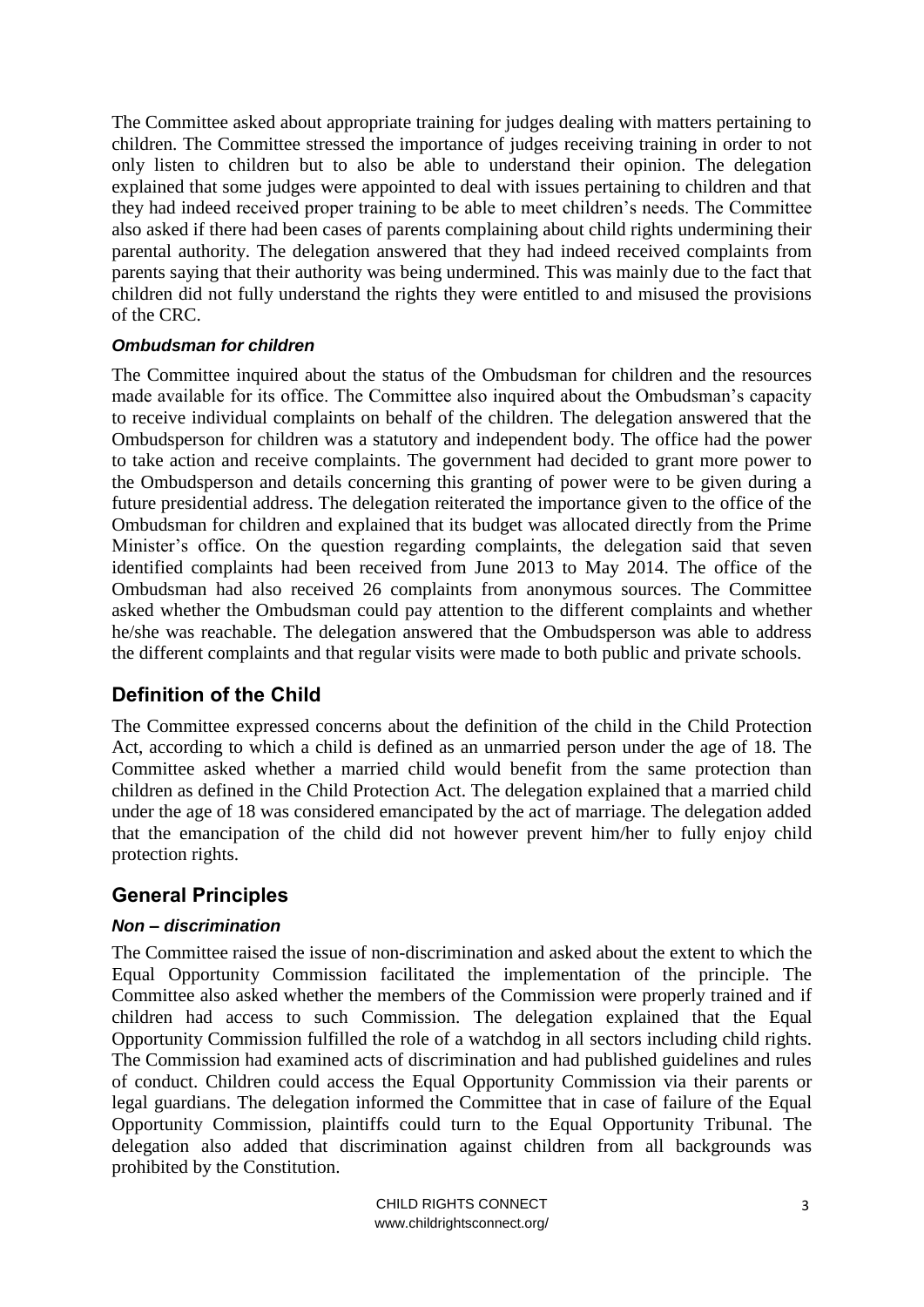The Committee asked about appropriate training for judges dealing with matters pertaining to children. The Committee stressed the importance of judges receiving training in order to not only listen to children but to also be able to understand their opinion. The delegation explained that some judges were appointed to deal with issues pertaining to children and that they had indeed received proper training to be able to meet children's needs. The Committee also asked if there had been cases of parents complaining about child rights undermining their parental authority. The delegation answered that they had indeed received complaints from parents saying that their authority was being undermined. This was mainly due to the fact that children did not fully understand the rights they were entitled to and misused the provisions of the CRC.

#### *Ombudsman for children*

The Committee inquired about the status of the Ombudsman for children and the resources made available for its office. The Committee also inquired about the Ombudsman's capacity to receive individual complaints on behalf of the children. The delegation answered that the Ombudsperson for children was a statutory and independent body. The office had the power to take action and receive complaints. The government had decided to grant more power to the Ombudsperson and details concerning this granting of power were to be given during a future presidential address. The delegation reiterated the importance given to the office of the Ombudsman for children and explained that its budget was allocated directly from the Prime Minister's office. On the question regarding complaints, the delegation said that seven identified complaints had been received from June 2013 to May 2014. The office of the Ombudsman had also received 26 complaints from anonymous sources. The Committee asked whether the Ombudsman could pay attention to the different complaints and whether he/she was reachable. The delegation answered that the Ombudsperson was able to address the different complaints and that regular visits were made to both public and private schools.

# **Definition of the Child**

The Committee expressed concerns about the definition of the child in the Child Protection Act, according to which a child is defined as an unmarried person under the age of 18. The Committee asked whether a married child would benefit from the same protection than children as defined in the Child Protection Act. The delegation explained that a married child under the age of 18 was considered emancipated by the act of marriage. The delegation added that the emancipation of the child did not however prevent him/her to fully enjoy child protection rights.

# **General Principles**

#### *Non – discrimination*

The Committee raised the issue of non-discrimination and asked about the extent to which the Equal Opportunity Commission facilitated the implementation of the principle. The Committee also asked whether the members of the Commission were properly trained and if children had access to such Commission. The delegation explained that the Equal Opportunity Commission fulfilled the role of a watchdog in all sectors including child rights. The Commission had examined acts of discrimination and had published guidelines and rules of conduct. Children could access the Equal Opportunity Commission via their parents or legal guardians. The delegation informed the Committee that in case of failure of the Equal Opportunity Commission, plaintiffs could turn to the Equal Opportunity Tribunal. The delegation also added that discrimination against children from all backgrounds was prohibited by the Constitution.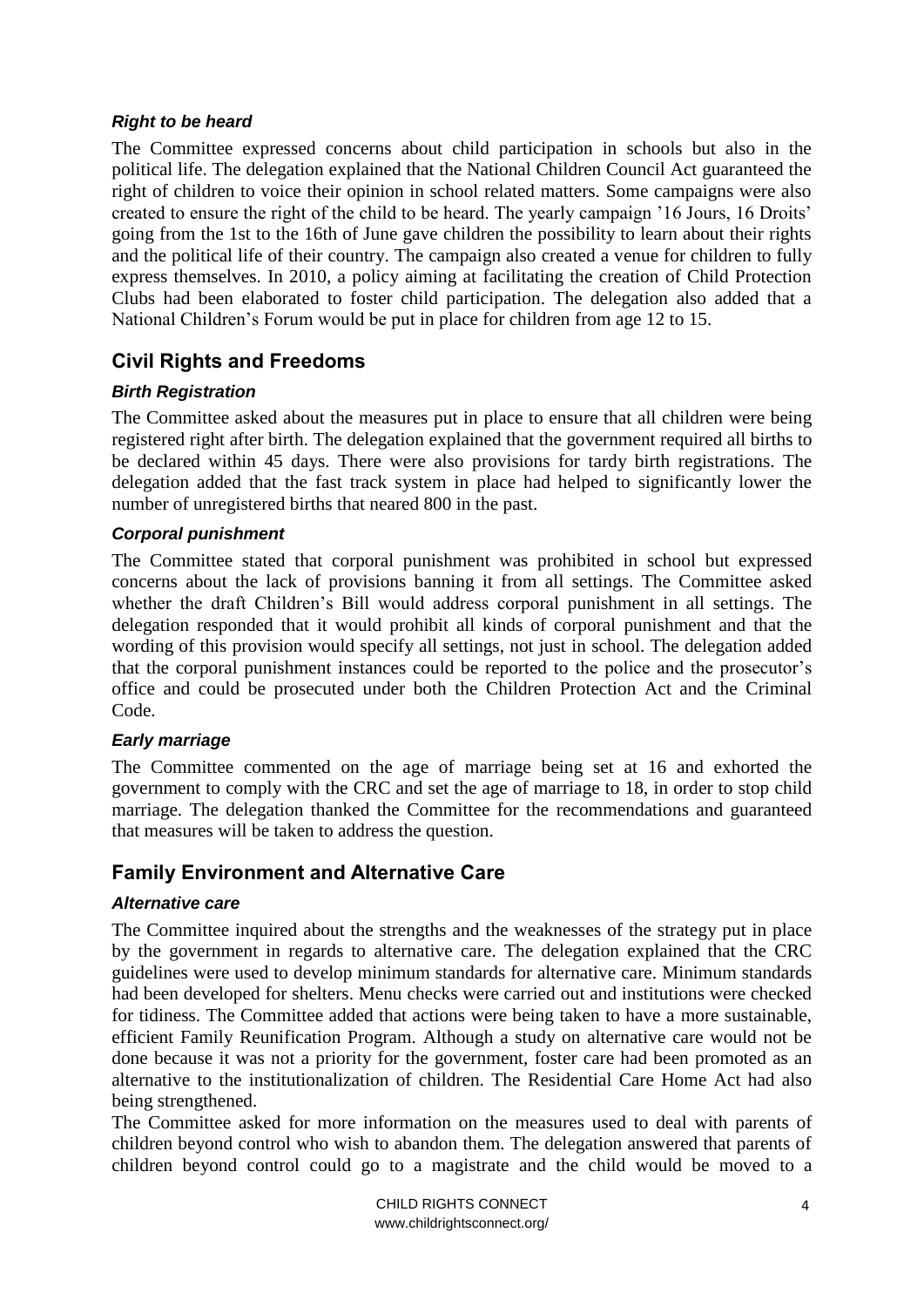#### *Right to be heard*

The Committee expressed concerns about child participation in schools but also in the political life. The delegation explained that the National Children Council Act guaranteed the right of children to voice their opinion in school related matters. Some campaigns were also created to ensure the right of the child to be heard. The yearly campaign '16 Jours, 16 Droits' going from the 1st to the 16th of June gave children the possibility to learn about their rights and the political life of their country. The campaign also created a venue for children to fully express themselves. In 2010, a policy aiming at facilitating the creation of Child Protection Clubs had been elaborated to foster child participation. The delegation also added that a National Children's Forum would be put in place for children from age 12 to 15.

# **Civil Rights and Freedoms**

## *Birth Registration*

The Committee asked about the measures put in place to ensure that all children were being registered right after birth. The delegation explained that the government required all births to be declared within 45 days. There were also provisions for tardy birth registrations. The delegation added that the fast track system in place had helped to significantly lower the number of unregistered births that neared 800 in the past.

#### *Corporal punishment*

The Committee stated that corporal punishment was prohibited in school but expressed concerns about the lack of provisions banning it from all settings. The Committee asked whether the draft Children's Bill would address corporal punishment in all settings. The delegation responded that it would prohibit all kinds of corporal punishment and that the wording of this provision would specify all settings, not just in school. The delegation added that the corporal punishment instances could be reported to the police and the prosecutor's office and could be prosecuted under both the Children Protection Act and the Criminal Code.

#### *Early marriage*

The Committee commented on the age of marriage being set at 16 and exhorted the government to comply with the CRC and set the age of marriage to 18, in order to stop child marriage. The delegation thanked the Committee for the recommendations and guaranteed that measures will be taken to address the question.

# **Family Environment and Alternative Care**

#### *Alternative care*

The Committee inquired about the strengths and the weaknesses of the strategy put in place by the government in regards to alternative care. The delegation explained that the CRC guidelines were used to develop minimum standards for alternative care. Minimum standards had been developed for shelters. Menu checks were carried out and institutions were checked for tidiness. The Committee added that actions were being taken to have a more sustainable, efficient Family Reunification Program. Although a study on alternative care would not be done because it was not a priority for the government, foster care had been promoted as an alternative to the institutionalization of children. The Residential Care Home Act had also being strengthened.

The Committee asked for more information on the measures used to deal with parents of children beyond control who wish to abandon them. The delegation answered that parents of children beyond control could go to a magistrate and the child would be moved to a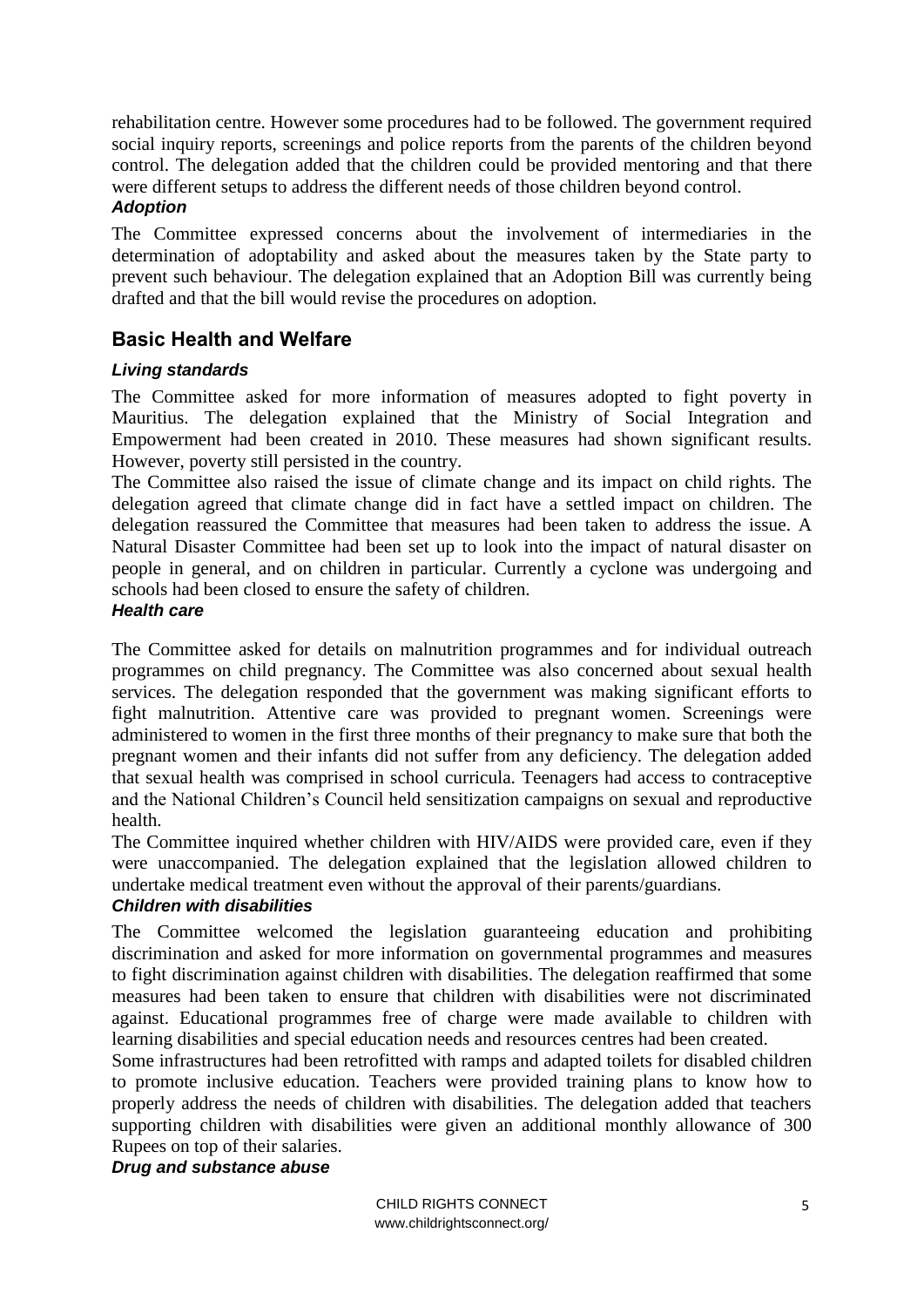rehabilitation centre. However some procedures had to be followed. The government required social inquiry reports, screenings and police reports from the parents of the children beyond control. The delegation added that the children could be provided mentoring and that there were different setups to address the different needs of those children beyond control. *Adoption*

#### The Committee expressed concerns about the involvement of intermediaries in the determination of adoptability and asked about the measures taken by the State party to prevent such behaviour. The delegation explained that an Adoption Bill was currently being drafted and that the bill would revise the procedures on adoption.

# **Basic Health and Welfare**

## *Living standards*

The Committee asked for more information of measures adopted to fight poverty in Mauritius. The delegation explained that the Ministry of Social Integration and Empowerment had been created in 2010. These measures had shown significant results. However, poverty still persisted in the country.

The Committee also raised the issue of climate change and its impact on child rights. The delegation agreed that climate change did in fact have a settled impact on children. The delegation reassured the Committee that measures had been taken to address the issue. A Natural Disaster Committee had been set up to look into the impact of natural disaster on people in general, and on children in particular. Currently a cyclone was undergoing and schools had been closed to ensure the safety of children.

#### *Health care*

The Committee asked for details on malnutrition programmes and for individual outreach programmes on child pregnancy. The Committee was also concerned about sexual health services. The delegation responded that the government was making significant efforts to fight malnutrition. Attentive care was provided to pregnant women. Screenings were administered to women in the first three months of their pregnancy to make sure that both the pregnant women and their infants did not suffer from any deficiency. The delegation added that sexual health was comprised in school curricula. Teenagers had access to contraceptive and the National Children's Council held sensitization campaigns on sexual and reproductive health.

The Committee inquired whether children with HIV/AIDS were provided care, even if they were unaccompanied. The delegation explained that the legislation allowed children to undertake medical treatment even without the approval of their parents/guardians.

#### *Children with disabilities*

The Committee welcomed the legislation guaranteeing education and prohibiting discrimination and asked for more information on governmental programmes and measures to fight discrimination against children with disabilities. The delegation reaffirmed that some measures had been taken to ensure that children with disabilities were not discriminated against. Educational programmes free of charge were made available to children with learning disabilities and special education needs and resources centres had been created.

Some infrastructures had been retrofitted with ramps and adapted toilets for disabled children to promote inclusive education. Teachers were provided training plans to know how to properly address the needs of children with disabilities. The delegation added that teachers supporting children with disabilities were given an additional monthly allowance of 300 Rupees on top of their salaries.

#### *Drug and substance abuse*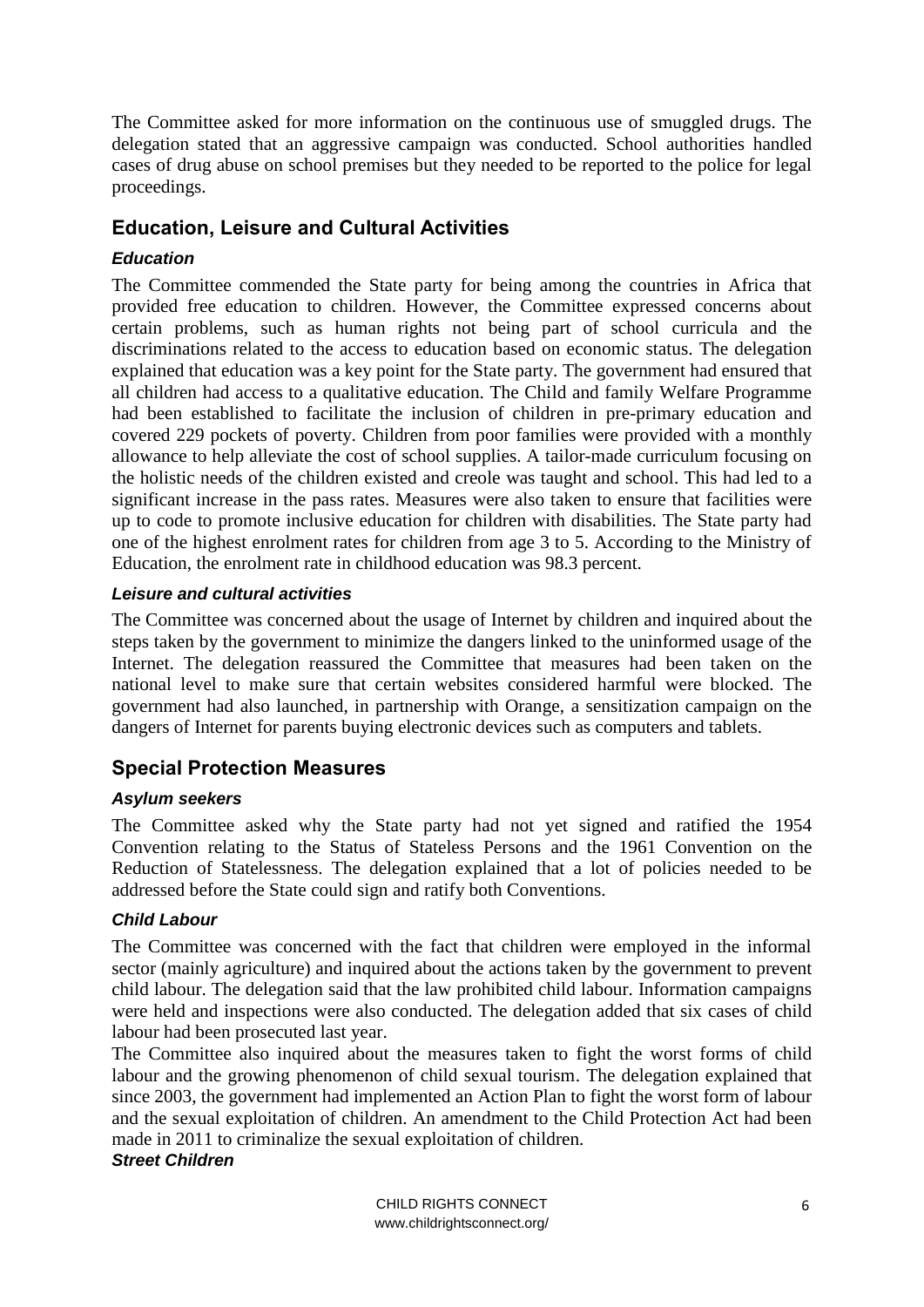The Committee asked for more information on the continuous use of smuggled drugs. The delegation stated that an aggressive campaign was conducted. School authorities handled cases of drug abuse on school premises but they needed to be reported to the police for legal proceedings.

# **Education, Leisure and Cultural Activities**

# *Education*

The Committee commended the State party for being among the countries in Africa that provided free education to children. However, the Committee expressed concerns about certain problems, such as human rights not being part of school curricula and the discriminations related to the access to education based on economic status. The delegation explained that education was a key point for the State party. The government had ensured that all children had access to a qualitative education. The Child and family Welfare Programme had been established to facilitate the inclusion of children in pre-primary education and covered 229 pockets of poverty. Children from poor families were provided with a monthly allowance to help alleviate the cost of school supplies. A tailor-made curriculum focusing on the holistic needs of the children existed and creole was taught and school. This had led to a significant increase in the pass rates. Measures were also taken to ensure that facilities were up to code to promote inclusive education for children with disabilities. The State party had one of the highest enrolment rates for children from age 3 to 5. According to the Ministry of Education, the enrolment rate in childhood education was 98.3 percent.

#### *Leisure and cultural activities*

The Committee was concerned about the usage of Internet by children and inquired about the steps taken by the government to minimize the dangers linked to the uninformed usage of the Internet. The delegation reassured the Committee that measures had been taken on the national level to make sure that certain websites considered harmful were blocked. The government had also launched, in partnership with Orange, a sensitization campaign on the dangers of Internet for parents buying electronic devices such as computers and tablets.

# **Special Protection Measures**

#### *Asylum seekers*

The Committee asked why the State party had not yet signed and ratified the 1954 Convention relating to the Status of Stateless Persons and the 1961 Convention on the Reduction of Statelessness. The delegation explained that a lot of policies needed to be addressed before the State could sign and ratify both Conventions.

#### *Child Labour*

The Committee was concerned with the fact that children were employed in the informal sector (mainly agriculture) and inquired about the actions taken by the government to prevent child labour. The delegation said that the law prohibited child labour. Information campaigns were held and inspections were also conducted. The delegation added that six cases of child labour had been prosecuted last year.

The Committee also inquired about the measures taken to fight the worst forms of child labour and the growing phenomenon of child sexual tourism. The delegation explained that since 2003, the government had implemented an Action Plan to fight the worst form of labour and the sexual exploitation of children. An amendment to the Child Protection Act had been made in 2011 to criminalize the sexual exploitation of children.

#### *Street Children*